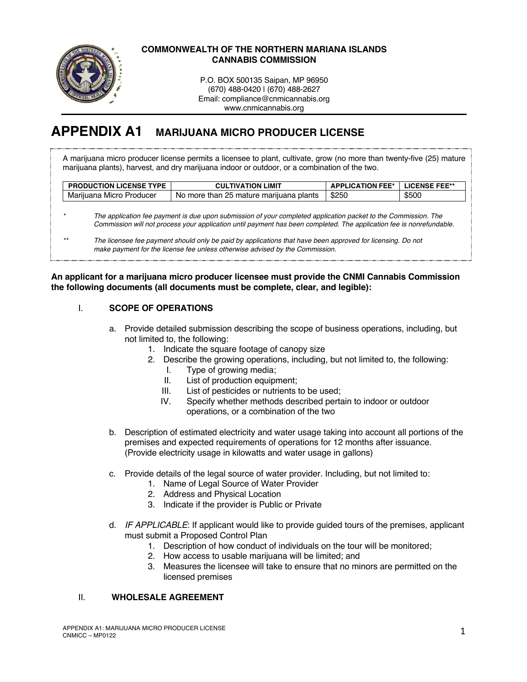

#### **COMMONWEALTH OF THE NORTHERN MARIANA ISLANDS CANNABIS COMMISSION**

P.O. BOX 500135 Saipan, MP 96950 (670) 488-0420 | (670) 488-2627 Email: compliance@cnmicannabis.org www.cnmicannabis.org

# **APPENDIX A1 MARIJUANA MICRO PRODUCER LICENSE**

A marijuana micro producer license permits a licensee to plant, cultivate, grow (no more than twenty-five (25) mature marijuana plants), harvest, and dry marijuana indoor or outdoor, or a combination of the two.

| <b>PRODUCTION LICENSE TYPE</b> | <b>CULTIVATION LIMIT</b>                | <b>APPLICATION FEE*   LICENSE FEE**</b> |       |
|--------------------------------|-----------------------------------------|-----------------------------------------|-------|
| Mariiuana Micro Producer       | No more than 25 mature marijuana plants | \$250                                   | \$500 |

*\* The application fee payment is due upon submission of your completed application packet to the Commission. The Commission will not process your application until payment has been completed. The application fee is nonrefundable.*

*\*\* The licensee fee payment should only be paid by applications that have been approved for licensing. Do not make payment for the license fee unless otherwise advised by the Commission.*

#### **An applicant for a marijuana micro producer licensee must provide the CNMI Cannabis Commission the following documents (all documents must be complete, clear, and legible):**

## I. **SCOPE OF OPERATIONS**

- a. Provide detailed submission describing the scope of business operations, including, but not limited to, the following:
	- 1. Indicate the square footage of canopy size
	- 2. Describe the growing operations, including, but not limited to, the following:
		- I. Type of growing media;
		- II. List of production equipment;
		- III. List of pesticides or nutrients to be used;
		- IV. Specify whether methods described pertain to indoor or outdoor operations, or a combination of the two
- b. Description of estimated electricity and water usage taking into account all portions of the premises and expected requirements of operations for 12 months after issuance. (Provide electricity usage in kilowatts and water usage in gallons)
- c. Provide details of the legal source of water provider. Including, but not limited to:
	- 1. Name of Legal Source of Water Provider
	- 2. Address and Physical Location
	- 3. Indicate if the provider is Public or Private
- d. *IF APPLICABLE*: If applicant would like to provide guided tours of the premises, applicant must submit a Proposed Control Plan
	- 1. Description of how conduct of individuals on the tour will be monitored;
	- 2. How access to usable marijuana will be limited; and
	- 3. Measures the licensee will take to ensure that no minors are permitted on the licensed premises

# II. **WHOLESALE AGREEMENT**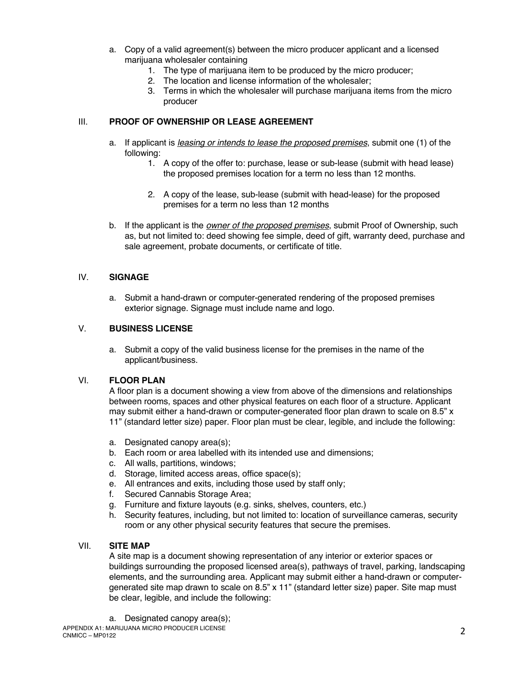- a. Copy of a valid agreement(s) between the micro producer applicant and a licensed marijuana wholesaler containing
	- 1. The type of marijuana item to be produced by the micro producer;
	- 2. The location and license information of the wholesaler;
	- 3. Terms in which the wholesaler will purchase marijuana items from the micro producer

#### III. **PROOF OF OWNERSHIP OR LEASE AGREEMENT**

- a. If applicant is *leasing or intends to lease the proposed premises*, submit one (1) of the following:
	- 1. A copy of the offer to: purchase, lease or sub-lease (submit with head lease) the proposed premises location for a term no less than 12 months.
	- 2. A copy of the lease, sub-lease (submit with head-lease) for the proposed premises for a term no less than 12 months
- b. If the applicant is the *owner of the proposed premises*, submit Proof of Ownership, such as, but not limited to: deed showing fee simple, deed of gift, warranty deed, purchase and sale agreement, probate documents, or certificate of title.

#### IV. **SIGNAGE**

a. Submit a hand-drawn or computer-generated rendering of the proposed premises exterior signage. Signage must include name and logo.

## V. **BUSINESS LICENSE**

a. Submit a copy of the valid business license for the premises in the name of the applicant/business.

## VI. **FLOOR PLAN**

A floor plan is a document showing a view from above of the dimensions and relationships between rooms, spaces and other physical features on each floor of a structure. Applicant may submit either a hand-drawn or computer-generated floor plan drawn to scale on 8.5" x 11" (standard letter size) paper. Floor plan must be clear, legible, and include the following:

- a. Designated canopy area(s);
- b. Each room or area labelled with its intended use and dimensions;
- c. All walls, partitions, windows;
- d. Storage, limited access areas, office space(s);
- e. All entrances and exits, including those used by staff only;
- f. Secured Cannabis Storage Area;
- g. Furniture and fixture layouts (e.g. sinks, shelves, counters, etc.)
- h. Security features, including, but not limited to: location of surveillance cameras, security room or any other physical security features that secure the premises.

#### VII. **SITE MAP**

A site map is a document showing representation of any interior or exterior spaces or buildings surrounding the proposed licensed area(s), pathways of travel, parking, landscaping elements, and the surrounding area. Applicant may submit either a hand-drawn or computergenerated site map drawn to scale on 8.5" x 11" (standard letter size) paper. Site map must be clear, legible, and include the following:

a. Designated canopy area(s);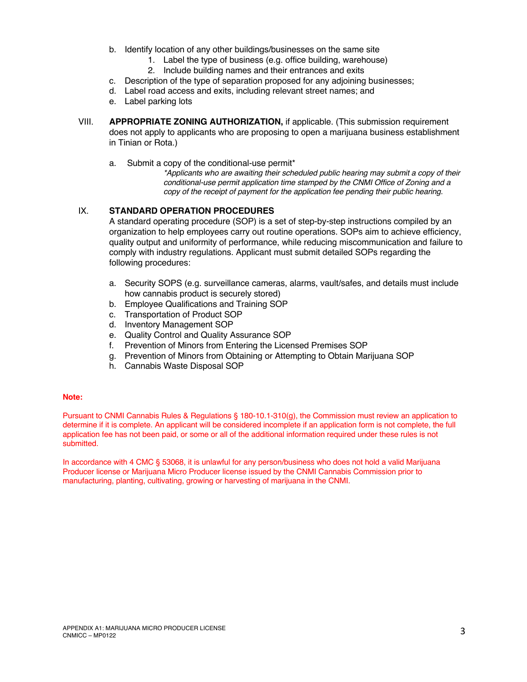- b. Identify location of any other buildings/businesses on the same site
	- 1. Label the type of business (e.g. office building, warehouse)
	- 2. Include building names and their entrances and exits
- c. Description of the type of separation proposed for any adjoining businesses;
- d. Label road access and exits, including relevant street names; and
- e. Label parking lots
- VIII. **APPROPRIATE ZONING AUTHORIZATION,** if applicable. (This submission requirement does not apply to applicants who are proposing to open a marijuana business establishment in Tinian or Rota.)
	- a. Submit a copy of the conditional-use permit\*

*\*Applicants who are awaiting their scheduled public hearing may submit a copy of their conditional-use permit application time stamped by the CNMI Office of Zoning and a copy of the receipt of payment for the application fee pending their public hearing.* 

## IX. **STANDARD OPERATION PROCEDURES**

A standard operating procedure (SOP) is a set of step-by-step instructions compiled by an organization to help employees carry out routine operations. SOPs aim to achieve efficiency, quality output and uniformity of performance, while reducing miscommunication and failure to comply with industry regulations. Applicant must submit detailed SOPs regarding the following procedures:

- a. Security SOPS (e.g. surveillance cameras, alarms, vault/safes, and details must include how cannabis product is securely stored)
- b. Employee Qualifications and Training SOP
- c. Transportation of Product SOP
- d. Inventory Management SOP
- e. Quality Control and Quality Assurance SOP
- f. Prevention of Minors from Entering the Licensed Premises SOP
- g. Prevention of Minors from Obtaining or Attempting to Obtain Marijuana SOP
- h. Cannabis Waste Disposal SOP

#### **Note:**

Pursuant to CNMI Cannabis Rules & Regulations § 180-10.1-310(g), the Commission must review an application to determine if it is complete. An applicant will be considered incomplete if an application form is not complete, the full application fee has not been paid, or some or all of the additional information required under these rules is not submitted.

In accordance with 4 CMC § 53068, it is unlawful for any person/business who does not hold a valid Marijuana Producer license or Marijuana Micro Producer license issued by the CNMI Cannabis Commission prior to manufacturing, planting, cultivating, growing or harvesting of marijuana in the CNMI.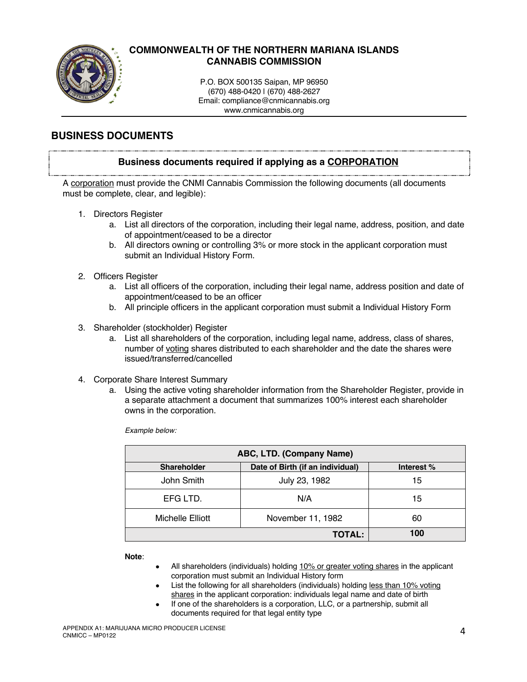

# **COMMONWEALTH OF THE NORTHERN MARIANA ISLANDS CANNABIS COMMISSION**

P.O. BOX 500135 Saipan, MP 96950 (670) 488-0420 | (670) 488-2627 Email: compliance@cnmicannabis.org www.cnmicannabis.org

# **BUSINESS DOCUMENTS**

## **Business documents required if applying as a CORPORATION**

A corporation must provide the CNMI Cannabis Commission the following documents (all documents must be complete, clear, and legible):

- 1. Directors Register
	- a. List all directors of the corporation, including their legal name, address, position, and date of appointment/ceased to be a director
	- b. All directors owning or controlling 3% or more stock in the applicant corporation must submit an Individual History Form.
- 2. Officers Register
	- a. List all officers of the corporation, including their legal name, address position and date of appointment/ceased to be an officer
	- b. All principle officers in the applicant corporation must submit a Individual History Form
- 3. Shareholder (stockholder) Register
	- a. List all shareholders of the corporation, including legal name, address, class of shares, number of voting shares distributed to each shareholder and the date the shares were issued/transferred/cancelled
- 4. Corporate Share Interest Summary
	- a. Using the active voting shareholder information from the Shareholder Register, provide in a separate attachment a document that summarizes 100% interest each shareholder owns in the corporation.

*Example below:*

| ABC, LTD. (Company Name) |                                  |            |  |
|--------------------------|----------------------------------|------------|--|
| <b>Shareholder</b>       | Date of Birth (if an individual) | Interest % |  |
| John Smith               | July 23, 1982                    | 15         |  |
| EFG LTD.                 | N/A                              | 15         |  |
| Michelle Elliott         | November 11, 1982                | 60         |  |
|                          | <b>TOTAL:</b>                    | 100        |  |

**Note**:

- All shareholders (individuals) holding 10% or greater voting shares in the applicant corporation must submit an Individual History form
- List the following for all shareholders (individuals) holding less than 10% voting shares in the applicant corporation: individuals legal name and date of birth
- If one of the shareholders is a corporation, LLC, or a partnership, submit all documents required for that legal entity type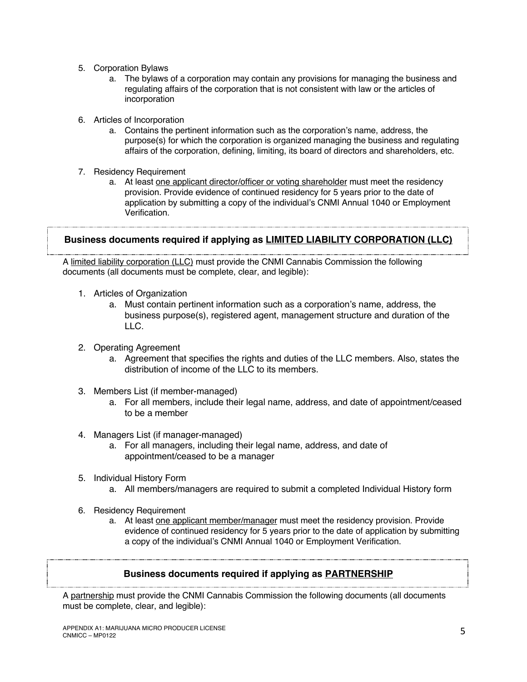- 5. Corporation Bylaws
	- a. The bylaws of a corporation may contain any provisions for managing the business and regulating affairs of the corporation that is not consistent with law or the articles of incorporation
- 6. Articles of Incorporation
	- a. Contains the pertinent information such as the corporation's name, address, the purpose(s) for which the corporation is organized managing the business and regulating affairs of the corporation, defining, limiting, its board of directors and shareholders, etc.
- 7. Residency Requirement
	- a. At least one applicant director/officer or voting shareholder must meet the residency provision. Provide evidence of continued residency for 5 years prior to the date of application by submitting a copy of the individual's CNMI Annual 1040 or Employment Verification.

# **Business documents required if applying as LIMITED LIABILITY CORPORATION (LLC)**

A limited liability corporation (LLC) must provide the CNMI Cannabis Commission the following documents (all documents must be complete, clear, and legible):

- 1. Articles of Organization
	- a. Must contain pertinent information such as a corporation's name, address, the business purpose(s), registered agent, management structure and duration of the LLC.
- 2. Operating Agreement
	- a. Agreement that specifies the rights and duties of the LLC members. Also, states the distribution of income of the LLC to its members.
- 3. Members List (if member-managed)
	- a. For all members, include their legal name, address, and date of appointment/ceased to be a member
- 4. Managers List (if manager-managed)
	- a. For all managers, including their legal name, address, and date of appointment/ceased to be a manager
- 5. Individual History Form
	- a. All members/managers are required to submit a completed Individual History form
- 6. Residency Requirement
	- a. At least one applicant member/manager must meet the residency provision. Provide evidence of continued residency for 5 years prior to the date of application by submitting a copy of the individual's CNMI Annual 1040 or Employment Verification.

# **Business documents required if applying as PARTNERSHIP**

A partnership must provide the CNMI Cannabis Commission the following documents (all documents must be complete, clear, and legible):